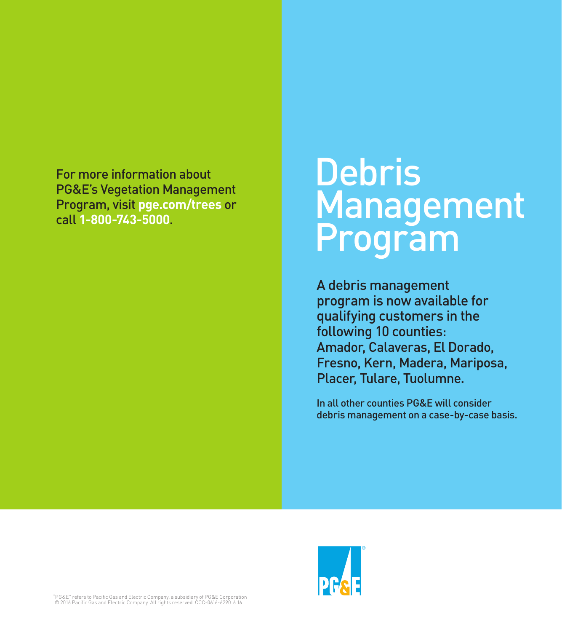For more information about PG&E's Vegetation Management Program, visit **pge.com/trees** or call **1-800-743-5000**.

# **Debris Management** Program

A debris management program is now available for qualifying customers in the following 10 counties: Amador, Calaveras, El Dorado, Fresno, Kern, Madera, Mariposa, Placer, Tulare, Tuolumne.

In all other counties PG&E will consider debris management on a case-by-case basis.